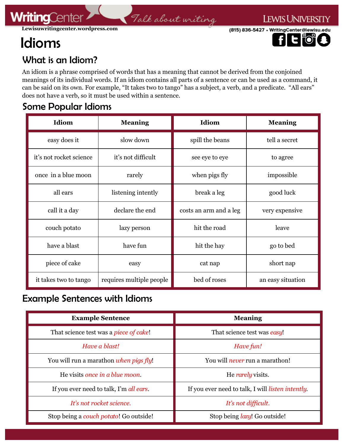# Idioms

**WritingCente** 

(815) 836-5427 · WritingCenter@lewisu.edu



**LEWIS UNIVERSITY** 

### What is an Idiom?

An idiom is a phrase comprised of words that has a meaning that cannot be derived from the conjoined meanings of its individual words. If an idiom contains all parts of a sentence or can be used as a command, it can be said on its own. For example, "It takes two to tango" has a subject, a verb, and a predicate. "All ears" does not have a verb, so it must be used within a sentence.

Talk about writing

#### Some Popular Idioms

| Idiom                   | <b>Meaning</b>           | Idiom                  | <b>Meaning</b>    |
|-------------------------|--------------------------|------------------------|-------------------|
| easy does it            | slow down                | spill the beans        | tell a secret     |
| it's not rocket science | it's not difficult       | see eye to eye         | to agree          |
| once in a blue moon     | rarely                   | when pigs fly          | impossible        |
| all ears                | listening intently       | break a leg            | good luck         |
| call it a day           | declare the end          | costs an arm and a leg | very expensive    |
| couch potato            | lazy person              | hit the road           | leave             |
| have a blast            | have fun                 | hit the hay            | go to bed         |
| piece of cake           | easy                     | cat nap                | short nap         |
| it takes two to tango   | requires multiple people | bed of roses           | an easy situation |

#### Example Sentences with Idioms

| <b>Example Sentence</b>                 | <b>Meaning</b>                                            |  |
|-----------------------------------------|-----------------------------------------------------------|--|
| That science test was a piece of cake!  | That science test was easy!                               |  |
| Have a blast!                           | Have fun!                                                 |  |
| You will run a marathon when pigs fly!  | You will <i>never</i> run a marathon!                     |  |
| He visits once in a blue moon.          | He <i>rarely</i> visits.                                  |  |
| If you ever need to talk, I'm all ears. | If you ever need to talk, I will <i>listen intently</i> . |  |
| It's not rocket science.                | It's not difficult.                                       |  |
| Stop being a couch potato! Go outside!  | Stop being <i>lazy</i> ! Go outside!                      |  |